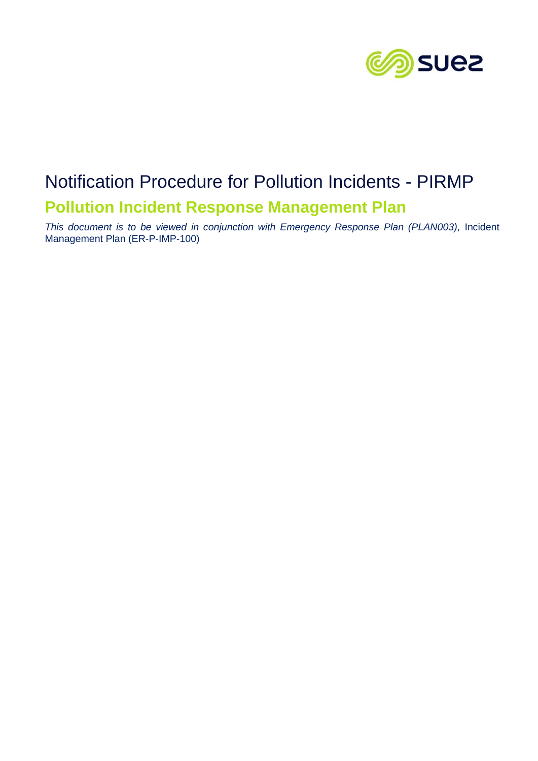

# Notification Procedure for Pollution Incidents - PIRMP **Pollution Incident Response Management Plan**

*This document is to be viewed in conjunction with Emergency Response Plan (PLAN003),* Incident Management Plan (ER-P-IMP-100)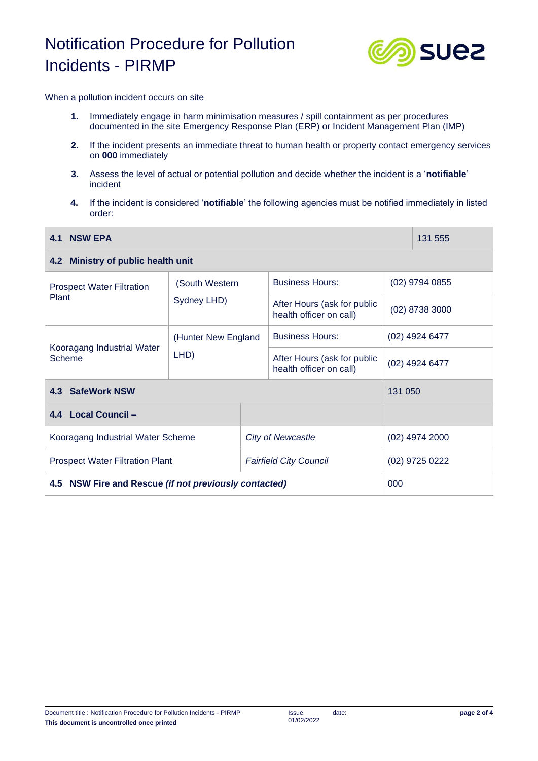## Notification Procedure for Pollution Incidents - PIRMP



When a pollution incident occurs on site

- **1.** Immediately engage in harm minimisation measures / spill containment as per procedures documented in the site Emergency Response Plan (ERP) or Incident Management Plan (IMP)
- **2.** If the incident presents an immediate threat to human health or property contact emergency services on **000** immediately
- **3.** Assess the level of actual or potential pollution and decide whether the incident is a '**notifiable**' incident
- **4.** If the incident is considered '**notifiable**' the following agencies must be notified immediately in listed order:

| <b>NSW EPA</b><br>4.1                                 |                               |  |                                                        |                  | 131 555          |  |
|-------------------------------------------------------|-------------------------------|--|--------------------------------------------------------|------------------|------------------|--|
| 4.2 Ministry of public health unit                    |                               |  |                                                        |                  |                  |  |
| <b>Prospect Water Filtration</b><br>Plant             | (South Western<br>Sydney LHD) |  | <b>Business Hours:</b>                                 | $(02)$ 9794 0855 |                  |  |
|                                                       |                               |  | After Hours (ask for public<br>health officer on call) | (02) 8738 3000   |                  |  |
| Kooragang Industrial Water<br>Scheme                  | (Hunter New England<br>LHD)   |  | <b>Business Hours:</b>                                 | (02) 4924 6477   |                  |  |
|                                                       |                               |  | After Hours (ask for public<br>health officer on call) | (02) 4924 6477   |                  |  |
| 4.3 SafeWork NSW                                      |                               |  |                                                        | 131 050          |                  |  |
| 4.4 Local Council -                                   |                               |  |                                                        |                  |                  |  |
| Kooragang Industrial Water Scheme                     |                               |  | <b>City of Newcastle</b>                               |                  | $(02)$ 4974 2000 |  |
| <b>Prospect Water Filtration Plant</b>                |                               |  | <b>Fairfield City Council</b>                          |                  | (02) 9725 0222   |  |
| 4.5 NSW Fire and Rescue (if not previously contacted) |                               |  |                                                        | 000              |                  |  |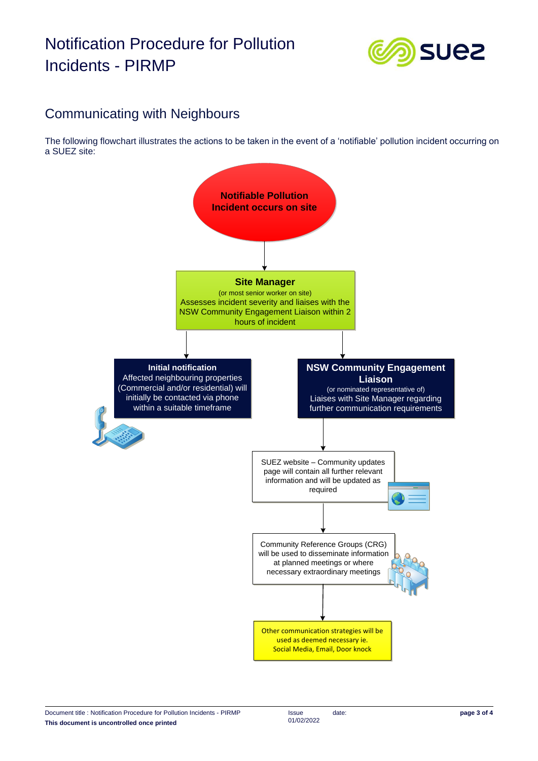### Notification Procedure for Pollution Incidents - PIRMP



### Communicating with Neighbours

The following flowchart illustrates the actions to be taken in the event of a 'notifiable' pollution incident occurring on a SUEZ site: